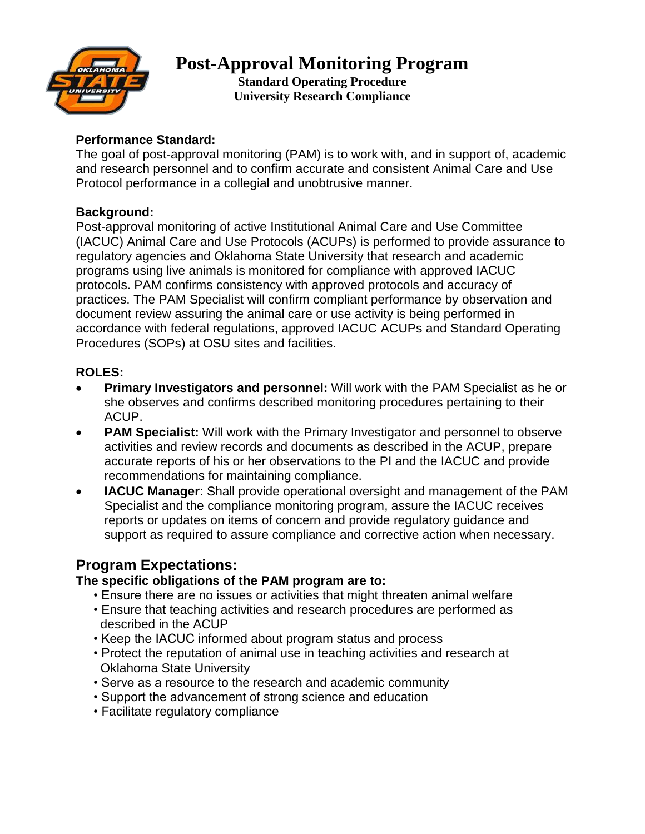

# **Post-Approval Monitoring Program**

**Standard Operating Procedure University Research Compliance**

## **Performance Standard:**

The goal of post-approval monitoring (PAM) is to work with, and in support of, academic and research personnel and to confirm accurate and consistent Animal Care and Use Protocol performance in a collegial and unobtrusive manner.

### **Background:**

Post-approval monitoring of active Institutional Animal Care and Use Committee (IACUC) Animal Care and Use Protocols (ACUPs) is performed to provide assurance to regulatory agencies and Oklahoma State University that research and academic programs using live animals is monitored for compliance with approved IACUC protocols. PAM confirms consistency with approved protocols and accuracy of practices. The PAM Specialist will confirm compliant performance by observation and document review assuring the animal care or use activity is being performed in accordance with federal regulations, approved IACUC ACUPs and Standard Operating Procedures (SOPs) at OSU sites and facilities.

## **ROLES:**

- **Primary Investigators and personnel:** Will work with the PAM Specialist as he or she observes and confirms described monitoring procedures pertaining to their ACUP.
- **PAM Specialist:** Will work with the Primary Investigator and personnel to observe activities and review records and documents as described in the ACUP, prepare accurate reports of his or her observations to the PI and the IACUC and provide recommendations for maintaining compliance.
- **IACUC Manager**: Shall provide operational oversight and management of the PAM Specialist and the compliance monitoring program, assure the IACUC receives reports or updates on items of concern and provide regulatory guidance and support as required to assure compliance and corrective action when necessary.

# **Program Expectations:**

### **The specific obligations of the PAM program are to:**

- Ensure there are no issues or activities that might threaten animal welfare
- Ensure that teaching activities and research procedures are performed as described in the ACUP
- Keep the IACUC informed about program status and process
- Protect the reputation of animal use in teaching activities and research at Oklahoma State University
- Serve as a resource to the research and academic community
- Support the advancement of strong science and education
- Facilitate regulatory compliance